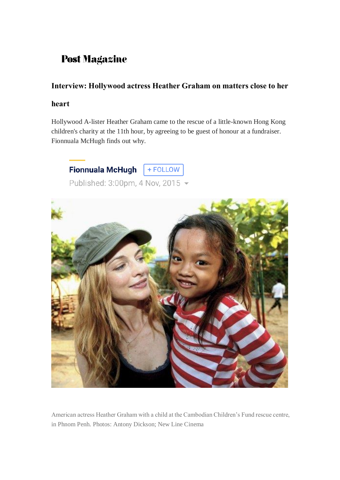## **Post Magazine**

## **Interview: Hollywood actress Heather Graham on matters close to her**

## **heart**

Hollywood A-lister Heather Graham came to the rescue of a little-known Hong Kong children's charity at the 11th hour, by agreeing to be guest of honour at a fundraiser. Fionnuala McHugh finds out why.

+ FOLLOW **Fionnuala McHugh** 

Published: 3:00pm, 4 Nov, 2015 -



American actress Heather Graham with a child at the Cambodian Children's Fund rescue centre, in Phnom Penh. Photos: Antony Dickson; New Line Cinema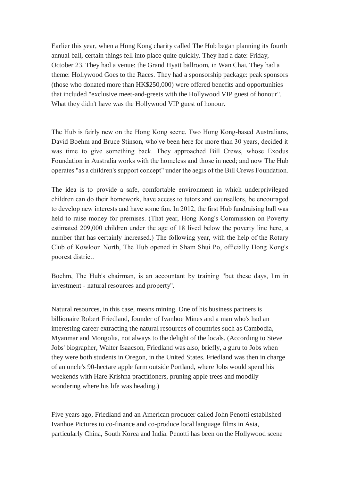Earlier this year, when a Hong Kong charity called The Hub began planning its fourth annual ball, certain things fell into place quite quickly. They had a date: Friday, October 23. They had a venue: the Grand Hyatt ballroom, in Wan Chai. They had a theme: Hollywood Goes to the Races. They had a sponsorship package: peak sponsors (those who donated more than HK\$250,000) were offered benefits and opportunities that included "exclusive meet-and-greets with the Hollywood VIP guest of honour". What they didn't have was the Hollywood VIP guest of honour.

The Hub is fairly new on the Hong Kong scene. Two Hong Kong-based Australians, David Boehm and Bruce Stinson, who've been here for more than 30 years, decided it was time to give something back. They approached Bill Crews, whose Exodus Foundation in Australia works with the homeless and those in need; and now The Hub operates "as a children's support concept" under the aegis of the Bill Crews Foundation.

The idea is to provide a safe, comfortable environment in which underprivileged children can do their homework, have access to tutors and counsellors, be encouraged to develop new interests and have some fun. In 2012, the first Hub fundraising ball was held to raise money for premises. (That year, Hong Kong's Commission on Poverty estimated 209,000 children under the age of 18 lived below the poverty line here, a number that has certainly increased.) The following year, with the help of the Rotary Club of Kowloon North, The Hub opened in Sham Shui Po, officially Hong Kong's poorest district.

Boehm, The Hub's chairman, is an accountant by training "but these days, I'm in investment - natural resources and property".

Natural resources, in this case, means mining. One of his business partners is billionaire Robert Friedland, founder of Ivanhoe Mines and a man who's had an interesting career extracting the natural resources of countries such as Cambodia, Myanmar and Mongolia, not always to the delight of the locals. (According to Steve Jobs' biographer, Walter Isaacson, Friedland was also, briefly, a guru to Jobs when they were both students in Oregon, in the United States. Friedland was then in charge of an uncle's 90-hectare apple farm outside Portland, where Jobs would spend his weekends with Hare Krishna practitioners, pruning apple trees and moodily wondering where his life was heading.)

Five years ago, Friedland and an American producer called John Penotti established Ivanhoe Pictures to co-finance and co-produce local language films in Asia, particularly China, South Korea and India. Penotti has been on the Hollywood scene